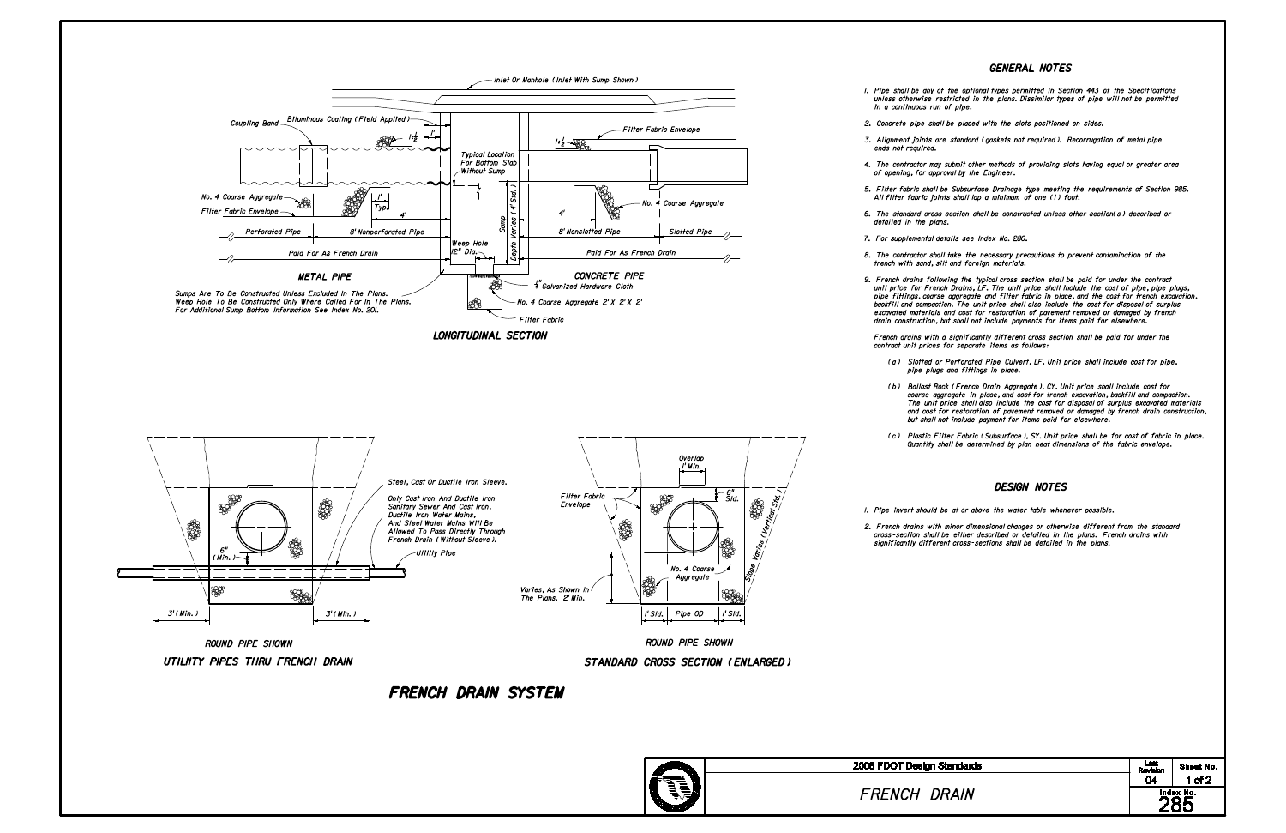## GENERAL NOTES

## DESIGN NOTES

1. Pipe invert should be at or above the water table whenever possible.

2. French drains with minor dimensional changes or otherwise different from the standard cross-section shall be either described or detailed in the plans. French drains with significantly different cross-sections shall be detailed in the plans.

1. Pipe shall be any of the optional types permitted in Section 443 of the Specifications unless otherwise restricted in the plans. Dissimilar types of pipe will not be permitted

2. Concrete pipe shall be placed with the slots positioned on sides.

3. Alignment joints are standard (gaskets not required). Recorrugation of metal pipe

| sign Standards                | Last<br>Revision                                                 | Sheet No. |  |
|-------------------------------|------------------------------------------------------------------|-----------|--|
| <b>DRAIN</b><br>$\mathcal{L}$ | 04<br>$1$ of $2$<br>$\overline{\overset{\text{Index No.}}{285}}$ |           |  |
|                               |                                                                  |           |  |
|                               |                                                                  |           |  |

4. The contractor may submit other methods of providing slots having equal or greater area

5. Filter fabric shall be Subsurface Drainage type meeting the requirements of Section 985. All filter fabric joints shall lap a minimum of one (1) foot.

6. The standard cross section shall be constructed unless other section(s) described or



8. The contractor shall take the necessary precautions to prevent contamination of the trench with sand, silt and foreign materials.

9. French drains following the typical cross section shall be paid for under the contract unit price for French Drains, LF. The unit price shall include the cost of pipe, pipe plugs, pipe fittings, coarse aggregate and filter fabric in place, and the cost for trench excavation, backfill and compaction. The unit price shall also include the cost for disposal of surplus excavated materials and cost for restoration of pavement removed or damaged by french drain construction, but shall not include payments for items paid for elsewhere.

 French drains with a significantly different cross section shall be paid for under the contract unit prices for separate items as follows:

 (a) Slotted or Perforated Pipe Culvert, LF. Unit price shall include cost for pipe, pipe plugs and fittings in place.

 (b) Ballast Rock (French Drain Aggregate), CY. Unit price shall include cost for coarse aggregate in place, and cost for trench excavation, backfill and compaction. The unit price shall also include the cost for disposal of surplus excavated materials and cost for restoration of pavement removed or damaged by french drain construction, but shall not include payment for items paid for elsewhere.

 (c) Plastic Filter Fabric (Subsurface), SY. Unit price shall be for cost of fabric in place. Quantity shall be determined by plan neat dimensions of the fabric envelope.